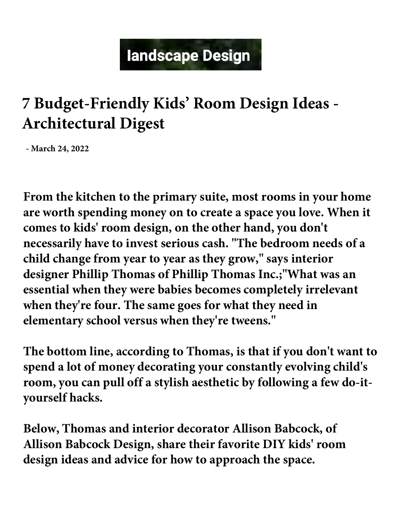# landscape Design

## **7 Budget-Friendly Kids' Room Design Ideas - Architectural Digest**

**- March 24, 2022**

**From the kitchen to the primary suite, most rooms in your home are worth spending money on to create a space you love. When it comes to kids' room design, on the other hand, you don't necessarily have to invest serious cash. "The bedroom needs of a child change from year to year as they grow," says interior designer Phillip Thomas of Phillip Thomas Inc.;"What was an essential when they were babies becomes completely irrelevant when they're four. The same goes for what they need in elementary school versus when they're tweens."**

**The bottom line, according to Thomas, is that if you don't want to spend a lot of money decorating your constantly evolving child's room, you can pull off a stylish aesthetic by following a few do-ityourself hacks.**

**Below, Thomas and interior decorator Allison Babcock, of Allison Babcock Design, share their favorite DIY kids' room design ideas and advice for how to approach the space.**